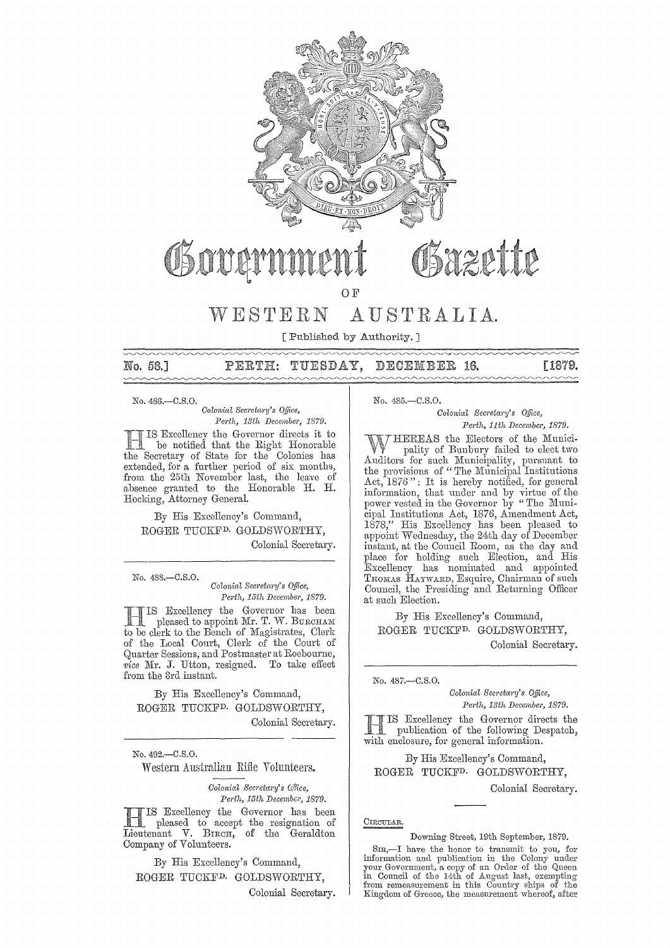

# azette

OF

### WESTERN AUSTRALIA.

[Published by Authority. ]

No. 58.]

 $\mathtt{PERTH:}$ TUESDAY, DECEMBER 16. [1879.

No. 486.-0.S.0.

*Oolonial Secl'eta?'Y's Office, Perth, 13th December, 1879.* 

Excellency the Governor directs it to be notified that the Right Honorable the Secretary of State for the Colonies has extended, for a further period of six months, from the 25th November last, the leave of absence granted to the Honorable H. H. Hocking, Attorney General.

By His Excellency's Command, ROGER TUCKFD. GOLDSWORTHY, Colonial Secretary.

No. 488.-C.S.O. *Colonial Secretary's Office, Perth, 15th December, 1879.* 

Excellency the Governor has been pleased to appoint Mr. T. W. BURCHAM to be clerk to the Bench of Magistrates, Clerk of the Local Court, Clerk of the Court of Quarter Sessions, and Postmaster at Roebourne, *vice* Mr. J. Utton, resigned. To take effect from the 3rd instant.

By His Excellency'S Command, ROGER TUCKFD. GOLDSWORTHY, Colonial Secretary.

No. 492.-0.S.0.

Western Australian Rifle Volunteers.

*Colonial Secretary's Office, Perth, 15th December, 1879.* 

**HERIS Excellency the Governor has been**<br>pleased to accept the resignation of<br>Liontanant V. Bream of the Goveldton Lieutenant V. BIRCH, of the Geraldton Company of Volunteers.

By His Excellency's Command, ROGER TUCKFD. GOLDSWORTHY, Colonial Secretary. No. 485.-C.S.O.

*Oolonial SeCl'eta1'Y's Office, Perth, 11th December, 1879.* 

WHEREAS the Electors of the Munici-<br>
pality of Bunbury failed to elect two<br>
Auditors for such Municipality, pursuant to<br>
the provisions of "The Municipal Institutions Act, 1876": It is hereby notified, for general information, that under and by virtue of the power vested in the Governor by "The Municipal Institutions Act, 1876, Amendment Act, 1878," His Excellency has been pleased to appoint Wednesday, the 24th day of December instant, at the Council Room, as the day and place for holding such Election, and His<br>Excellency has nominated and appointed THOMAS HAYWARD, Esquire, Chairman of such Council, the Presiding and Returning Officer at such Election.

By His Excellency's Command, ROGER TUCKFD. GOLDSWORTHY,

Colonial Secretary.

No. 487.-C.S.0.

 $Colonial$  Secretary's Office, *PC1·th, 13th December, 1879.* 

IS Excellency the Governor directs the publication of the following Despatch, with enclosure, for general information.

By His Excellency's Command, ROGER TUCKFD. GOLDSWORTHY,

Colonial Secretary.

CIRCULAR.

Downing Street, 19th September, 1879.

SIR,—I have the honor to transmit to you, for<br>information and publication in the Colony under your Government, a copy of an Order of the Queen<br>in Council of the 14th of August last, exempting<br>from remeasurement in this Country ships of the Kingdom of Greece, the measurement whereof, after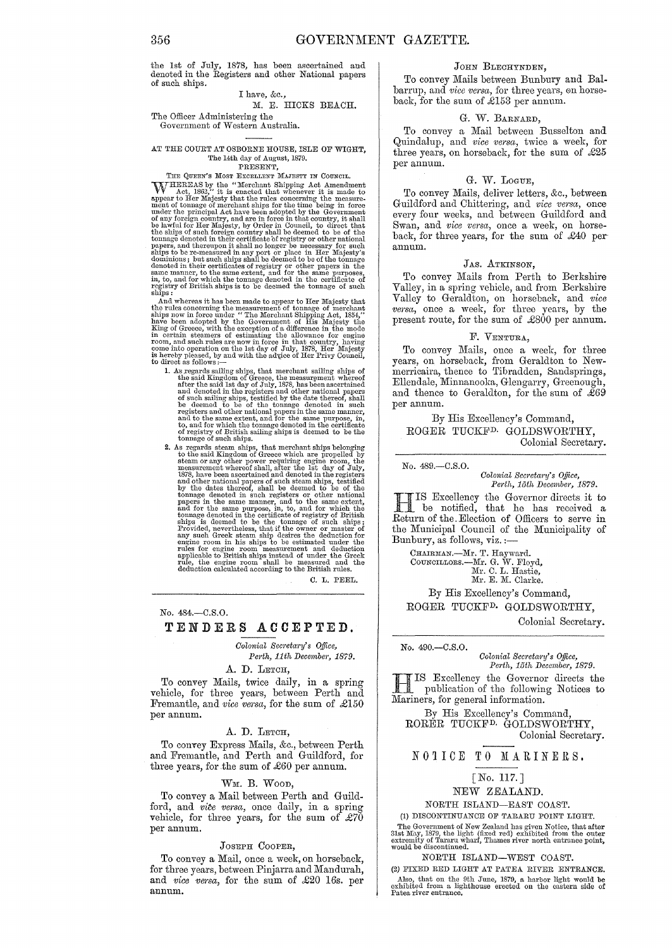the 1st of July, 1878, has been ascertained and denoted in the Registers and other National papers of such ships.

#### I have, &c.,

#### M. E. HICKS BEACH.

#### The Officer Administering the Government of Western Australia.

#### AT THE COURT AT OSBORNE HOUSE, ISLE OF WIGHT, The 14th day of August, 1879.<br>PRESENT,

FRESENT,<br>
FRESENT,<br>
THE QUEEN'S Most Except.<br>
THE REAS by the "Merchant Shipping Act Amendment<br>
Act, 1882," it is enacted that whenever it is made to<br>
appear to Her Majesty that the rules concerning the measure-<br>
meat of t dominions; but such ships shall be deemed to be of the tonnage<br>denoted in their certificates of registry or other papers in the<br>same manner, to the same extent, and for the same purposes,<br>in, to, and for which the tonnage

And whereas it has been made to appear to Her Majesty that the rules concerning the measurement of tonnage of merchant ships now in force under "The Merchant Shipping Act, 1854," have been adopted by the Government of His Majesty the King of Greece, with the exception of a difference in the mode in certain steamers of estimating the allowance for engine room, and such rules are now in force in that

- 1. As regards sailing ships, that merchant sailing ships of the said Kingdom of Greece, the measurement whereof and tend is the minimal and cancel and denoted in the registers and other national papers of such a of such a to, and for which the tonnage denoted in the certificate of registry of British sailing ships is deemed to be the tonnage of such ships.
- 2. As regards steam ships, that merchant ships belonging to the said Kingdom of Greece which are propelled by steam or any other power requiring engine room, the measurement whereof shall, after the 1st day of July, 1878, have been ascertained and denoted in the registers<br>and other national papers of such steam ships, testified<br>by the dates thereof, shall be deemed to be of the<br>tomage denoted in such registers or other national<br>papers Provided, nevertheless, that if the owner or master of any such Greek steam ship desires the deduction for engine room in his ships to be estimated under the rules for engine room measurement and deduction applicable to Br rule, the engine room shall be measured and the deduction calculated according to the British rules.

C. L. PEEL.

#### No. 484.-C.S.O.

#### TENDERS ACCEPTED.

*Oolonial Sem'etary's Qffice, Perth, 11th December, 1879.* 

A. D. LETCH,

To convey Mails, twice daily, in a spring vehicle, for three years, between Perth and Fremantle, and *vice versa,* for the sum of £150 per annum.

#### A. D. LETCH,

To convey Express Mails, &c., between Perth and Fremantle, and Perth and Guildford, for three years, for the sum of  $£60$  per annum.

#### WM. B. WOOD,

To convey a Mail between Perth and Guildford, and *vite versa*, once daily, in a spring vehicle, for three years, for the sum of  $\mathcal{L}70$ per annum.

#### JOSEPH COOPER,

To convey a Mail, once a week, on horseback, for three years, between Pinjarra and Mandurah, and *vice versa,* for the sum of £20 16s. per annum.

#### JOHN BLECHYNDEN,

To convey Mails between Bunbury and Balbarrup, and *vice versa*, for three years, on horseback, for the sum of £153 per annum.

#### G. W. BARNARD,

To convey a Mail between Busselton and Quindalup, and *vice versa,* twice a week, for three years, on horseback, for the sum of £25 per annum.

#### G. W. LOGUE,

To convey Mails, deliver letters, &c., between Guildford and Chittering, and *vice versa,* once every four weeks, and between Guildford and Swan, and *vice versa*, once a week, on horseback, for three years, for the sum of £40 per annum.

#### JAS. ATKINSON,

To convey Mails from Perth to Berkshire Valley, in a spring vehicle, and from Berkshire Valley to Geraldton, on horseback, and *vice versa,* once a week, for three years, by the present route, for the sum of £800 per annum.

#### F. VENTURA,

To convey Mails, once a week, for three years, on horseback, from Geraldton to Newmerricaira, thence to Tibradden, Sandsprings, Ellendale, Minnanooka, Glengarry, Greenough, and thence to Geraldton, for the sum of  $\tilde{269}$ per annum.

By His Excellency's Command, ROGER TUCKFD. GOLDSWORTHY, Colonial Secretary.

#### No. 489.-C.S.0.

*Oolonial Secretary's Office, Perth, 15th December, 1879.* 

HIS Excellency the Governor directs it to be notified, that he has received a Return of the. Election of Officers to serve in the Municipal Council of the Municipality of Bunbury, as follows, viz. :—

CHAIRMAN.—Mr. T. Hayward.<br>COUNCILLORS.—Mr. G. W. Floyd,

Mr. C. L. Hastie, Mr. E. M. Clarke.

By His Excellency's Command, ROGER TUCKFD. GOLDSWORTHY,

Colonial Secretary.

#### No. 490.-C.S.0.

*Colonial Secretary's Office, Perth, 15th December, 1879.* 

*Perth, 15th December, 1879.*<br> **ISCENTER Excellency the Governor directs the III** IS Excellency the Governor directs the publication of the following Notices to Mariners, for general information.

By His Excellency's Command, RORER TUCKFD. GOLDSWORTHY, Colonial Secretary.

#### NOTICE TO MARINERS.

#### [No. 117.]

#### NEW ZEALAND.

NORTH ISLAND-EAST COAST.

(1) DISCONTINUANCE OF TARARU POINT LIGHT. The Government of New Zealand has given Notice, that after 31st May, 1879, the light (fixed red) exhibited from the outer extremity of Tararu whald be discontinued.

#### NORTH ISLAND-WEST COAST.

(2) FIXED RED LIGHT AT PATEA RIVER ENTRANCE. Also, that on the 9th June, 1879, a harbor light would be exhibited from a lighthouse erected on the eastern side of Patea river entrance.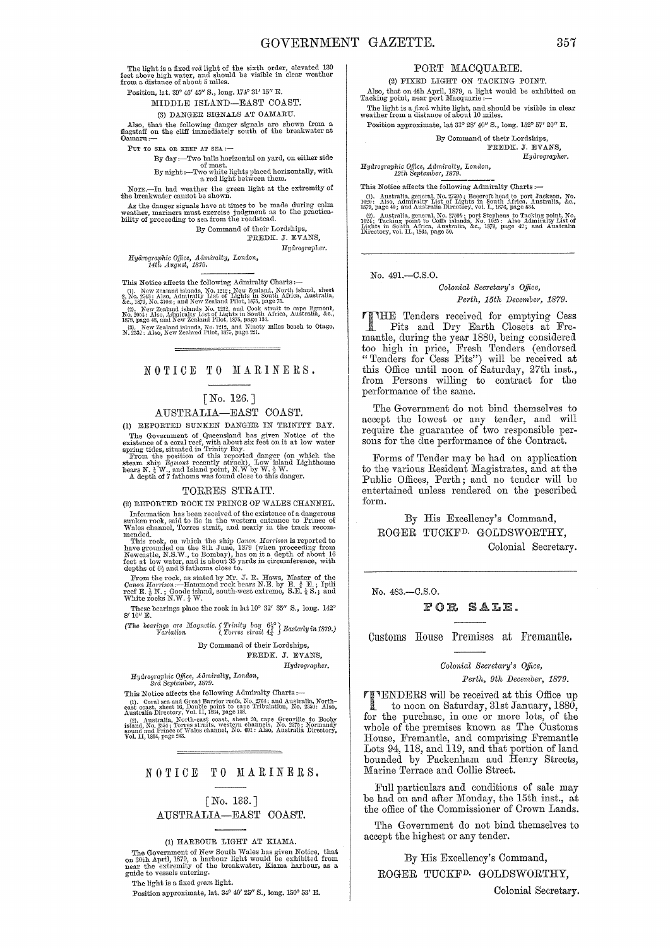The light is a fixed red light of the sixth order, elevated 130 feet above high water, and should be visible in clear weather from a distance of about 5 miles.

Position, lat. 39° 46' 45" S., long. 174° 31' 15" E.

MIDDLE ISLAND-EAST COAST.

(3) DANGER SIGNALS AT OAMARU.

Also, that the following danger signals are shown from a flagstaff on the cliff immediately south of the breakwater at Oamaru: $\leftarrow$ 

PUT TO SEA OR KEEP AT SEA:---<br>By day:---Two balls horizontal on yard, on either side By  $\lim_{\alpha \to 0} \frac{\cos \alpha}{\cos \alpha}$ . By night :--Two white lights placed horizontally, with  $\alpha$  red light between them.

Nore.-In bad weather the green light at the extremity of the breakwater cannot be shown.

As the danger signals have at times to be made during calm weather, mariners must exercise judgment as to the practica-bility of proceeding to sea from the roadstead.

By Command of their Lordships, FREDK. J. EVANS,

 $Hydrographer.$ 

*Hydrographic Office, Admiralty, London, 14th August, 1879.* 

This Notice affects the following Admiralty Charts :-

(1). New Zealand islands, No. 1212 ; New Zealand, North island, sheet<br>2, No. 2543 : Also, Admiralty List of Lights in South Africa, Australia,<br>&c., 1879, No. 310a ; and New Zealand Pilot, 1875, page 75. N.:, 1978, New Zealand islands No. 1312, and Cook strait to eape Egmont, No. 2054; Also, Admirulty List of Lights in South Africa, Australia, &c., (20). page 48, and New Zealand Pilot, 1875, page 134.

(3). New Zealand islands, No. 1212, and Ninety miles beach to Otago, N. 2532: Also, New Zealand Pilot, 1875, page 221.

NOTICE TO MARINERS.

#### [No. 126.]

#### AUSTRALIA-EAST COAST.

(1) REPORTED SUNKEN DANGER IN TRINITY BAY.

The Government of Queensland has given Notice of the<br>existence of a covariant of Queensland has given Notice of the<br>existence of a coval reef, with about six feet on it at low water<br>spring tides, situated in Trinity Bay.<br>

#### TORRES STRAIT.

(2) REPORTED ROCK IN PRINCE OF WALES CHANNEL.

Information hos been received of the existence of a dangerous sunken rock, said to lie in the 'western ent:l:ance to Prince of Wales channel, Torres strait, aJld nearly in the track recoll.·

mended. This rock, on which the ship Canon Harrison is reported to This rock, on which the 8th June, 1879 (when proceeding from Newcastle, N.S.W., to Bombay), has on it a depth of about 16 feet at low water, and is about

From the rock, as stated by Mr. J. R. Haws, Master of the *Canon Harrison* :--Hammond rock bears N.E. by E.  $\frac{3}{4}$  E.; Ipili reef E.  $\frac{1}{2}$  N.; Goode island, south-west extreme, S.E.  $\frac{1}{4}$  S.; and White rocks N.

These bearings place the rock in lat  $10^{\circ}$  32' 35" S., long.  $142^{\circ}$  $8'10''E$ .

*(The bearings are Magnetic. S Trinity bay*  $6^{38}_{4}$  *Easterly in 1879.) <i>Variation l Torres strait*  $4\frac{3}{4}$  *Easterly in 1879.*)

By Command of their Lordships,

FREDK. J. EVANS, *Hydrographer.* 

*HydrograjJ1tic Office,* Admimlty, *London,* Srd *Septentber, 1879.* 

This Notice affects the following Admiralty Charts :-

(1). Coral sea and Great Barrier reefs, No. 2764; and Australia, North–<br>east coast, sheet 16, Double-point to cape Tribulation, No. 2350: Also,<br>Australia Directory, Yol. II. 1364, page 158.

Australia, North-east coast, sheet 20, cape Grenville to Booby<br>
island, No. 2354; Torres straits, western channels, No. 2375; Normandy<br>
gound and Prince of Wales channel, No. 601: Also, Australia Directory,<br>
Yol. II, 1864,

#### NOTICE TO MARINERS.

#### [No. 133. ] AUSTRALIA-EAST COAST.

#### (1) HARBOUR LIGHT AT KIAMA.

The Government of New South Wales has given Notice, that on 30th April, 1879, a harbour light wonld be exhibited from near the extremity of the breakwater, Kiama harbour, as a guide to vessels entering.

The light is a fixed *green* light.

Position approximate, lat. 34° 40' 25" S., long. 150° 53' E.

#### PORT MACQUARIE.

(2) FIXED LIGHT ON TACKING POINT.

Also, that on 4th April, 1879, a light would be exhibited on Tacking point, near port Macquarie :--The light is a *fixed* white light, and should be visible in clear weather from a distance of about 10 miles.

Position approximate, lat 31° 28'  $40^{\prime\prime}$  S., long.  $152^\circ$   $57^\prime$   $20^{\prime\prime}$  E.

By Command of their Lordships, FREDK. J. EVANS.

*Hydl'ographer.* 

*Hydrographic Office, Admitalty, London, 12th September, 1879.* 

This Notice affects the following Admiralty Charts :-

(1). Australia, general, No. 2750/s Bescroft head to port Jackson, No. 1029: Also, Admiralty List of Lights in South Africa, Australia, &c., 1870, page 49; and Australia Directory, vol. I., 1870, page 534.<br>(2). Australia,

#### No. 491.-C.S.O.

#### *Colonial Secretary's Office, Perth, 15th December, 1879.*

THE Tenders received for emptying Cess<br>
Pits and Dry Earth Closets at Fre-<br>
months during the result 1880 being considered mantle, during the year 1880, being considered too high in price, Fresh Tenders (endorsed "Tenders for Cess Pits") will be received at this Office until noon of Saturday, 27th inst., from Persons willing to contract for the performance of the same.

The Government do not bind themselves to accept the lowest or any tender, and will require the guarantee of two responsible persons for the due performance of the Contract.

Forms of Tender may be had on application to the various Resident Magistrates, and at the Public Offices, Perth; and no tender will be entertained unless rendered on the pescribed form.

By His Excellency's Command, ROGER TUCKFD. GOLDSWORTHY,

Colonial Secretary.

No. 483.-C.S.O.

#### FOR SALE.

Customs House Premises at Fremantle.

#### *Oolonial Secreta1'Y's Office,*

*Pe?·th, 9th December, 1879.* 

**1'ENDERS** will be received at this Office up<br>to noon on Saturday, 31st January, 1880, for the purchase, in one or more lots, of the whole of the premises known as The Customs House, Fremantle, and comprising Fremantle Lots 94, ll8, and ll9, and that portion of land bounded by Packenham and Henry Streets, Marine Terrace and Collie Street.

Full particulars and conditions of sale may be had on and after Monday, the 15th inst., at the office of the Commissioner of Crown Lands.

The Government do not bind themselves to accept the highest or any tender.

By His Excellency's Command,

ROGER TUCKFD. GOLDSWORTHY,

Colonial Secretary.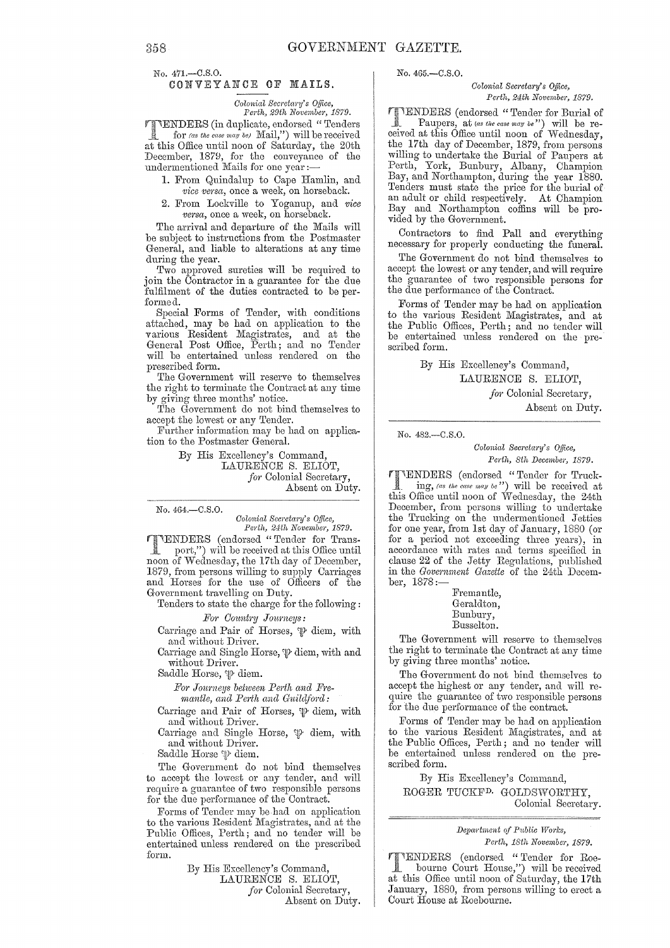No. 471.-C.S.O.

#### CONVEY ANCE OF MAILS.

*Colonial Secretary's Office,*<br>Perth, 29th November, 1879.

'1f'IENDERS (in duplicate, endorsed" Tenders Jl for *(as* the *case may be)* Il'Iail,") will be received at this Office until noon of Saturday, the 20th December, 1879, for the conveyance of the undermentioned Mails for one year:-

- 1. From Quindalup to Cape Hamlin, and vice versa, once a week, on horseback.
- 2. From Lockville to Yoganup, and vice versa, once a week, on horseback.

The arrival and departure of the Mails will be subject to instructions from the Postmaster General, and liable to alterations at any time during the year.

Two approved sureties will be required to join the Contractor in a guarantee for the due fulfilment of the duties contracted to be performed.

Special Forms of Tender, with conditions attached, may be had on application to the various Resident Magistrates, and at the General Post Office, Ferth; and no Tender will be entertained unless rendered on the prescribed form.

The Government will reserve to themselves the right to terminate the Contract at any time by giving three months' notice.

The Government do not bind themselves to accept the lowest or any Tender.

Further information may be had on application to the Postmaster General.

> By His Excellency's Command, LAURENCE S. ELIOT,

for Colonial Secretary, Absent on Duty.

No. 464.-C.S.O.

*Colonial Secretary's Office, Perth, 24th November, 1879.* 

'lI-'ENDERS (endorsed "Tender for Trans port,") will be received at this Office until noon of Wednesday, the 17th day of December, 1879, from persons willing to supply Carriages and Horses for the use of Officers of the Government travelling on Duty.

Tenders to state the charge for the following:

#### For Country Journeys:

Carriage and Pair of Horses,  $\mathfrak{P}$  diem, with and without Driver.

Carriage and Single Horse,  $\psi$  diem, with and without Drivel'.

Saddle Horse,  $\mathfrak{P}$  diem.

For Journeys between Perth and Fremantle, and Perth and Guildford:

Carriage and Pair of Horses,  $\mathcal P$  diem, with and without Driver.

Carriage and Single Horse,  $\mathfrak{P}$  diem, with and without Driver.

Saddle Horse  $\mathcal P$  diem.

The Government do not bind themselves to accept the lowest or any tender, and will require a guarantee of two responsible persons for the due performance of the Contract.

Forms of Tender may be had on application to the various Resident Magistrates, and at the Public Offices, Perth; and no tender will be entertained unless rendered on the prescribed form.

> By His Excellency's Command, LAURENCE S. ELIOT, *for* Colonial Secretary, Absent on Duty.

No. 465.-C.S.O.

*Colonial Secretary's Office, Perth, 24th November, 1879.* 

**"TENDERS** (endorsed "Tender for Burial of Paupers, at (as the case may be") will be received at this Office until noon of Wednesday, the 17th day of December, 1879, from persons willing to undertake the Burial of Paupers at Perth, York, Bunbury, Albany, Ohampion Bay, and Northampton, during the year 1880.<br>Tenders must state the price for the burial of an adult or child respectively. At Champion Bay and Northampton coffins will be provided by the Government.

Contractors to find Pall and everything necessary for properly conducting the funeral.

The Government do not bind themselves to accept the lowest or any tender, and will require the guarantee of two responsible persons for the due performance of the Contract.

Forms of Tender may be had on application to the various Resident Magistrates, and at the Public Offices, Perth; and no tender will be entertained unless rendered on the prescribed form.

> By His Excellency's Command, LAURENCE S. ELIOT,

for Colonial Secretary,

Absent on Duty.

No. 482.-C.8.0.

*Colonial Secretm'Y's o.ffice,*  Perth, 8th December, 1879.

**FINDERS** (endorsed "Tender for Truck-<br> ing, (as the case may be") will be received at. this Office until noon of Wednesday, the 24th December, from porsons willing to undertake the Trucking on the undermentioned Jetties for one year, from 1st day of January, 1880 (or for a period not exceeding three years), in accordance with rates and terms specified in clause 22 of the Jetty Regulations, published in the *Government Gazette* of the 24th December, 1878:-

Fremantle, Gera1dton, Bunbury, Busselton.

The Government will reserve to themselves the right to terminate the Contract at any time by giving three months' notice.

The Government do not bind themselves to accept the highest or any tender, and will require the guarantee of two responsible persons for the due performance of the contract.

Forms of Tender may be had on application to the various Resident Magistrates, and at the Public Offices, Perth; and no tender will be entertained unless rendered on the prescribed form.

By His Excellency's Oommand, ROGER TUCKFD. GOLDSWORTHY, Colonial Secretary.

> *Depcwtment of P1,blic TVorks, Perth, 18th Novcmbci', 1879.*

(endorsed "Tender for Roe-<br>bourne Court Herrer " bourne Court House,") will be received at this Office until noon of Saturday, the 17th January, 1880, from persons willing to erect a Court House at Roebourne.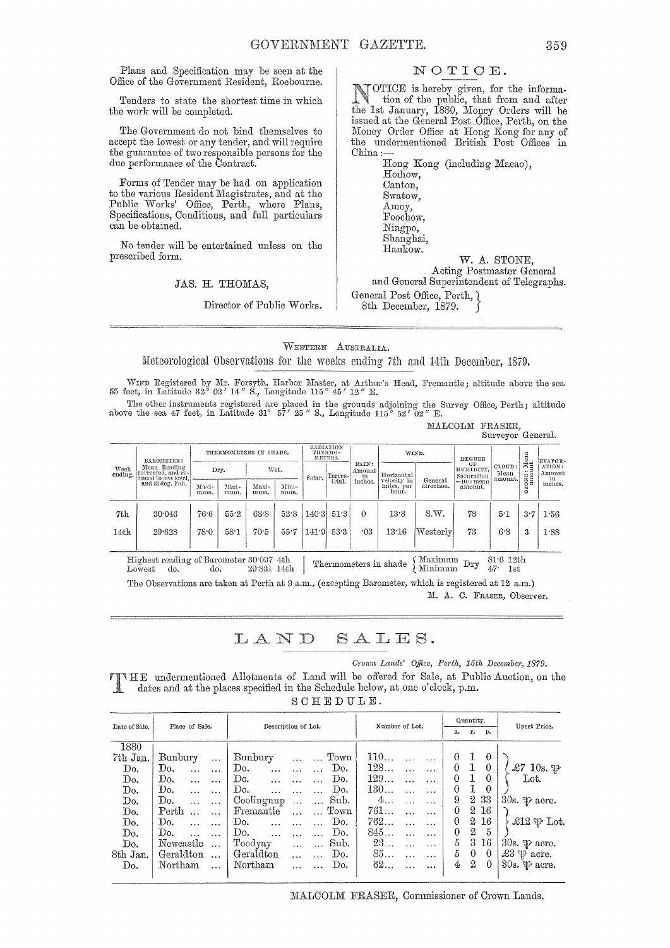Plans and Specification may be seen at the Office of the Government Resident, Roebourne.

Tenders to state the shortest time in which the work will be completed.

The Government do not bind themselves to accept the lowest or any tender, and will require the guarantee of two responsible persons for the due performance of the Contract.

FOTms of Tender may be had on application to the various Resident Magistrates, and at the Public Works' Office, Perth, where Plans, Specifications, Conditions, and full particulars can be obtained.

No tender will be entertained unless on the prescribed form.

#### JAS. H. THOMAS,

Director of Public Works.

#### NOTIOE.

NOTICE is hereby given, for the information of the public, that from and after<br>the let Innume 1990. Manage Ordens will be the 1st January, 1880, Money Orders will be issued at the Geneml Post Office, Perth, on the Money Order Office at Hong Kong for any of the undermentioned British Post Offices in China;-

Hong Kong (including Macao), Hoihow, Canton, Swatow, Amoy, Foochow, Ningpo, Shanghai, Hankow. W. A. STONE,

Acting Postmaster General

and General Superintendent of Telegraphs.

General Post Office, Perth, } 8th December, 1879.

WESTERN AUSTRALIA. Meteorological Observations for the weeks ending 7th and 14th December, 1879.

WIND Registered by Mr. Forsyth, Harbor Master, at Arthur's Head, Fremantle; altitude above the sea<br>55 feet, in Latitude 32° 02' 14" S., Longitude 115° 45' 12" E.

The other instruments registered are placed in the grounds adjoining the Survey Office, Perth; altitude above the sea 47 feet, in Latitude 31° 57' 25" S., Longitude 115° 52' 02" E.

MALCOLM FRASER, Surveyor General.

| Week<br>ending. | BAROMETER:<br>Mean Reading<br>corrected, and re-<br>duced to sea level,<br>and 32 deg. Fah. | THERMOMETERS IN SHADE. |               |               |               | RADIATION<br>THERMO-<br>METERS.  |                           |            | WIND.                         |                           | DEGREE                   |                                    | $\lim_{\text{nt.}}$ | EVAPOR- |
|-----------------|---------------------------------------------------------------------------------------------|------------------------|---------------|---------------|---------------|----------------------------------|---------------------------|------------|-------------------------------|---------------------------|--------------------------|------------------------------------|---------------------|---------|
|                 |                                                                                             | Wet.<br>Dry.           |               | Solar.        | [Terres-]     | RAIN:<br>Amount<br>in<br>inches. | Horizontal<br>velocity in |            | OF<br>HUMIDITY.<br>Saturation | CLOUD:<br>Mean<br>amount. | <br>ONE <sub>O</sub>     | ATION:<br>Amount<br>in             |                     |         |
|                 |                                                                                             | Maxi-<br>mum.          | Mini-<br>mum. | Maxi-<br>mum. | Mini-<br>mum. |                                  | trial.                    |            | miles, per<br>hour.           | General<br>direction.     | $=100$ : mean<br>amount. |                                    | Ň<br>$\circ$        | inches. |
| 7th             | 30.046                                                                                      | $76-6$                 | 55.2          | 68.8          | 52.8          | 140:3                            | 51:3                      | $\Omega$   | 13.8                          | S.W.                      | -78                      | 5.1                                | 3·7                 | 1.56    |
| 14th            | 29.828                                                                                      | 78.0                   | $58-1$        | 70.5          | 55.7          | 1419                             | 53.3                      | $\cdot 03$ | 13.16                         | ${\rm Westerlv}$          | 73                       | 6.8                                | 3                   | 1.88    |
|                 |                                                                                             |                        |               |               |               |                                  |                           |            |                               |                           |                          |                                    |                     |         |
|                 | Highest reading of Barometer 30:097 4th<br>do.<br>Lowest                                    | do.                    |               | 29.831 14th   |               |                                  |                           |            | Thermometers in shade         | Maximum<br>Minimum        | $_{\rm Dry}$             | 81.612th<br>47 <sup>o</sup><br>1st |                     |         |

The Observations are taken at Perth at 9 a.m., (excepting Barometer, which is registered at 12 a.m.) M. A. C. FRASER, Observer.

### LAND SALES.

*Crown Lands' Office, Perth, 15th December, 1879.* 

HE undermentioned Allotments of Land will be offered for Sale, at Public Auction, on the dates and at the places specified in the Schedule below, at one o'clock, p.m.  $S$  $C$  $F$  $F$  $F$  $T$  $T$  $T$  $F$  $F$ 

| $\mathbf{z}$ | . |  |  |  |  |  |
|--------------|---|--|--|--|--|--|
|              |   |  |  |  |  |  |
|              |   |  |  |  |  |  |

| Date of Sale. | Place of Sale.               | Description of Lot.                             | Number of Lot.              | Quantity.                   | Upset Price.                   |  |
|---------------|------------------------------|-------------------------------------------------|-----------------------------|-----------------------------|--------------------------------|--|
|               |                              |                                                 |                             | r.<br>a.<br>D.              |                                |  |
| 1880          |                              |                                                 |                             |                             |                                |  |
| 7th Jan.      | Bunbury<br>$\cdots$          | Town<br>Bunbury                                 | 110                         | 0<br>$\theta$               |                                |  |
| Do.           | Do.<br>$\ddotsc$<br>$\cdots$ | Do.<br>Do.<br>$\ldots$<br>$\cdots$<br>$\ddotsc$ | 128<br>$\cdots$             | 1<br>0<br>$\theta$          | $\pounds7$ 10s. $\mathfrak{P}$ |  |
| Do.           | Do.                          | Do.<br>Do.<br>$\cdots$                          | 129<br>$\cdots$             | $\Omega$<br>$\theta$        | Lot.                           |  |
| Do.           | Do.<br>$\cdots$              | Do.<br>Do.<br>.                                 | 130<br>$\ddotsc$            | $\Omega$<br>$\theta$        |                                |  |
| Do.           | Do.<br>$\cdots$              | Coolingnup<br>Sub.                              | $4\ldots$<br>$\cdots$       | $\boldsymbol{2}$<br>33<br>9 | 30s. $\mathcal{P}$ acre.       |  |
| Do.           | Perth<br>$\cdots$            | Fremantle<br>Town                               | 761<br>$\cdots$             | 2<br>16<br>$\theta$         |                                |  |
| Do.           | Do.                          | Do.<br>Do.<br>$\ddotsc$                         | 762<br>$\cdots$             | 2<br>16<br>$\theta$         | £12 $\mathfrak{P}$ Lot.        |  |
| Do.           | Do.<br>$\ddotsc$             | Do.<br>Do.                                      | 845<br>$\cdots$             | 2<br>5<br>0                 |                                |  |
| Do.           | Newcastle<br>$\ddotsc$       | Sub.<br>Toodyay<br>$\cdots$                     | 23<br>.<br>$\cdots$         | 5<br>3<br>16                | 30s. $\psi$ acre.              |  |
| 8th Jan.      | Geraldton<br>$\ddotsc$       | Geraldton<br>Do.                                | 85<br>$\ddotsc$<br>$\cdots$ | 5<br>$\theta$<br>$\theta$   | $23 \psi$ acre.                |  |
| Do.           | Northam<br>$\cdots$          | Northam<br>Do.                                  | 62<br>                      | 2<br>4<br>$\theta$          | 30s. $\mathcal{P}$ acre.       |  |
|               |                              |                                                 |                             |                             |                                |  |

MALCOLM FRASER, Commissioner of Crown Lands.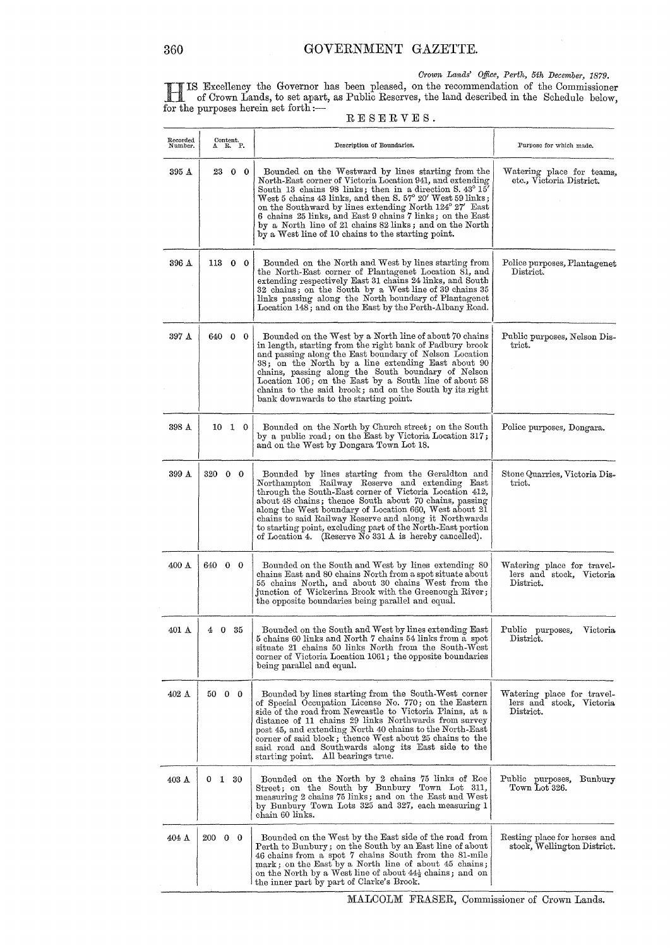*Crown Lands' Office, Perth, 5th December, 1879.* 

H IS Excellency the Governor has been pleased, on the recommendation of the Oommissioner of Orown Lands, to set apart, as Public Reserves, the land described in the Schedule below, for the purposes herein set forth :—  $R \to S \to R \vee E S$ .

| RESERVES. |  |  |  |  |
|-----------|--|--|--|--|
|           |  |  |  |  |

| Recorded<br>Number. | $\overset{\text{Content.}}{\Lambda}$ R. P. | Description of Boundaries.                                                                                                                                                                                                                                                                                                                                                                                                                                                                  | Purpose for which made.                                             |
|---------------------|--------------------------------------------|---------------------------------------------------------------------------------------------------------------------------------------------------------------------------------------------------------------------------------------------------------------------------------------------------------------------------------------------------------------------------------------------------------------------------------------------------------------------------------------------|---------------------------------------------------------------------|
| 395 A               | 23 0 0                                     | Bounded on the Westward by lines starting from the<br>North-East corner of Victoria Location 941, and extending<br>South 13 chains 98 links; then in a direction S. 43° 15'<br>West 5 chains 43 links, and then S. $57^{\circ}$ 20' West 59 links;<br>on the Southward by lines extending North 124° 27' East<br>6 chains 25 links, and East 9 chains 7 links; on the East<br>by a North line of 21 chains 82 links; and on the North<br>by a West line of 10 chains to the starting point. | Watering place for teams,<br>etc., Victoria District.               |
| 396 A               | 113 0 0                                    | Bounded on the North and West by lines starting from<br>the North-East corner of Plantagenet Location 81, and<br>extending respectively East 31 chains 24 links, and South<br>32 chains; on the South by a West line of 39 chains 35<br>links passing along the North boundary of Plantagenet<br>Location 148; and on the East by the Perth-Albany Road.                                                                                                                                    | Police purposes, Plantagenet<br>$0$                                 |
| 397 A               | 640 0 0                                    | Bounded on the West by a North line of about 70 chains<br>in length, starting from the right bank of Padbury brook<br>and passing along the East boundary of Nelson Location<br>38; on the North by a line extending East about 90<br>chains, passing along the South boundary of Nelson<br>Location 106; on the East by a South line of about 58<br>chains to the said brook; and on the South by its right<br>bank downwards to the starting point.                                       | Public purposes, Nelson Dis-<br>trict.                              |
| 398 A               | 10 1 0                                     | Bounded on the North by Church street; on the South<br>by a public road; on the East by Victoria Location 317;<br>and on the West by Dongara Town Lot 18.                                                                                                                                                                                                                                                                                                                                   | Police purposes, Dongara.                                           |
| 399 A               | 320 0 0                                    | Bounded by lines starting from the Geraldton and<br>Northampton Railway Reserve and extending East<br>through the South-East corner of Victoria Location 412,<br>about 48 chains; thence South about 70 chains, passing<br>along the West boundary of Location 660, West about 21<br>chains to said Railway Reserve and along it Northwards<br>to starting point, excluding part of the North-East portion<br>of Location 4. (Reserve No 331 A is hereby cancelled).                        | Stone Quarries, Victoria Dis-<br>trict.                             |
| 400 A               | 640 0 0                                    | Bounded on the South and West by lines extending 80<br>chains East and 80 chains North from a spot situate about<br>55 chains North, and about 30 chains West from the<br>junction of Wickerina Brook with the Greenough River;<br>the opposite boundaries being parallel and equal.                                                                                                                                                                                                        | Watering place for travel-<br>lers and stock, Victoria<br>District. |
| 401 A               | 35<br>45.<br>$\mathbf{0}$                  | $\footnotesize\textsf{Bounded}$ on the South and West by lines extending East $\vert$<br>5 chains 60 links and North 7 chains 54 links from a spot<br>situate 21 chains 50 links North from the South-West<br>corner of Victoria Location 1061; the opposite boundaries<br>being parallel and equal.                                                                                                                                                                                        | Public purposes, Victoria<br>District.                              |
| $402 \text{ A}$     | $50\quad 0\quad 0$                         | Bounded by lines starting from the South-West corner<br>of Special Occupation License No. 770; on the Eastern<br>side of the road from Newcastle to Victoria Plains, at a<br>distance of 11 chains 29 links Northwards from survey<br>post 45, and extending North 40 chains to the North-East<br>corner of said block; thence West about 25 chains to the<br>said road and Southwards along its East side to the<br>starting point. All bearings true.                                     | Watering place for travel-<br>lers and stock, Victoria<br>District. |
| $403 \text{ A}$     | 1 30<br>0                                  | Bounded on the North by 2 chains 75 links of Roe<br>Street; on the South by Bunbury Town Lot 311,<br>measuring 2 chains 75 links; and on the East and West<br>by Bunbury Town Lots 325 and 327, each measuring 1<br>chain 60 links.                                                                                                                                                                                                                                                         | Public purposes,<br>Bunbury<br>Town Lot 326.                        |
| $404 \Delta$        | 200 0 0                                    | Bounded on the West by the East side of the road from<br>Perth to Bunbury; on the South by an East line of about<br>46 chains from a spot 7 chains South from the 81-mile<br>mark; on the East by a North line of about 45 chains;<br>on the North by a West line of about $44\frac{1}{2}$ chains; and on<br>the inner part by part of Clarke's Brook.                                                                                                                                      | Resting place for horses and<br>stock, Wellington District.         |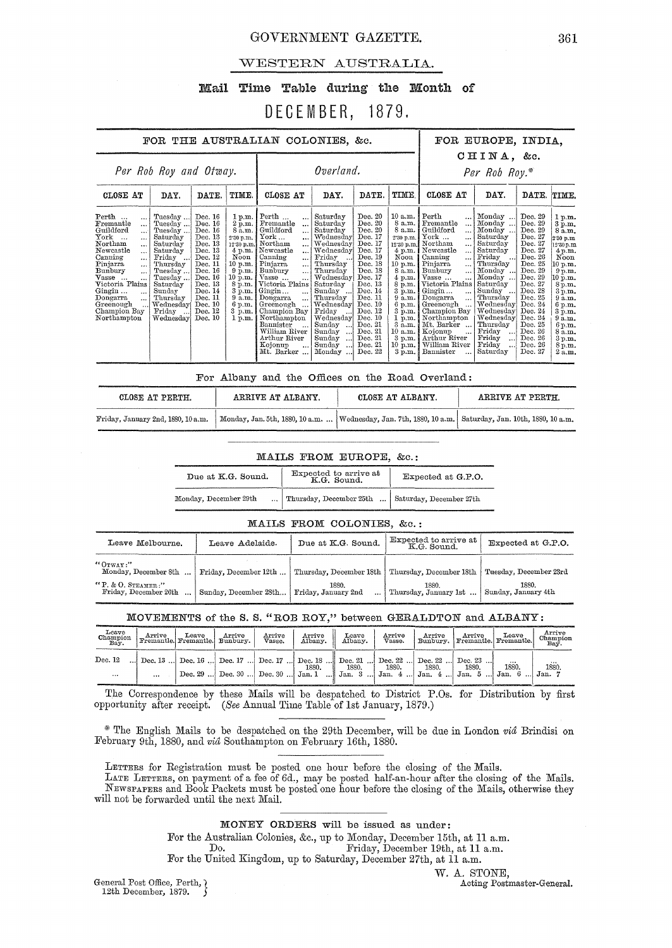#### GOVERNMENT GAZETTE. 361

#### WESTERN AUSTRALIA.

#### Mail Time Table during the Month of

### DECEMBER, 1879.

#### FOR THE AUSTRALIAN COLONIES, &c. FOR EUROPE, INDIA,

### CHINA, &c.

| Per Rob Roy and Otway.                                                                                                                                                                                                                                                                                                    |                                                                                                                                                                                     |                                                                                                                                                                              |                                                                                                                                                         | Overland.                                                                                                                                                                                                                                                                                                                                                                                                                                                |                                                                                                                                                                                                                                                                                     |                                                                                                                                                                                                                                     |                                                                                                                                                                                                                                                 | Per Rob Roy.*                                                                                                                                                                                                                                                                                                                                                                                              |                                                                                                                                                                                                                                                                               |                                                                                                                                                                                                                                     |                                                                                                                                                                                                                              |
|---------------------------------------------------------------------------------------------------------------------------------------------------------------------------------------------------------------------------------------------------------------------------------------------------------------------------|-------------------------------------------------------------------------------------------------------------------------------------------------------------------------------------|------------------------------------------------------------------------------------------------------------------------------------------------------------------------------|---------------------------------------------------------------------------------------------------------------------------------------------------------|----------------------------------------------------------------------------------------------------------------------------------------------------------------------------------------------------------------------------------------------------------------------------------------------------------------------------------------------------------------------------------------------------------------------------------------------------------|-------------------------------------------------------------------------------------------------------------------------------------------------------------------------------------------------------------------------------------------------------------------------------------|-------------------------------------------------------------------------------------------------------------------------------------------------------------------------------------------------------------------------------------|-------------------------------------------------------------------------------------------------------------------------------------------------------------------------------------------------------------------------------------------------|------------------------------------------------------------------------------------------------------------------------------------------------------------------------------------------------------------------------------------------------------------------------------------------------------------------------------------------------------------------------------------------------------------|-------------------------------------------------------------------------------------------------------------------------------------------------------------------------------------------------------------------------------------------------------------------------------|-------------------------------------------------------------------------------------------------------------------------------------------------------------------------------------------------------------------------------------|------------------------------------------------------------------------------------------------------------------------------------------------------------------------------------------------------------------------------|
| CLOSE AT                                                                                                                                                                                                                                                                                                                  | DAY.                                                                                                                                                                                | DATE.                                                                                                                                                                        | TIME.                                                                                                                                                   | CLOSE AT                                                                                                                                                                                                                                                                                                                                                                                                                                                 | DAY.                                                                                                                                                                                                                                                                                | DATE.                                                                                                                                                                                                                               | TIME.                                                                                                                                                                                                                                           | CLOSE AT                                                                                                                                                                                                                                                                                                                                                                                                   | DAY.                                                                                                                                                                                                                                                                          | DATE.                                                                                                                                                                                                                               | TIME.                                                                                                                                                                                                                        |
| $\mathrm{Perth}$<br>$\cdots$<br>$\ddotsc$<br>Guildford<br>York<br>Northam<br>Newcastle<br>$\ddotsc$<br>Canning<br>$\cdots$<br>Pinjarra<br>$\ddot{\phantom{a}}$<br>Bunbury<br>Vasse<br>$\ddot{\phantom{a}}$<br>Victoria Plains<br>Gingin<br>$\ddotsc$<br>Dongarra<br>Greenough<br>$\ddotsc$<br>Champion Bay<br>Northampton | Tuesday<br>Tuesday<br>Tuesday<br>Saturday<br>Saturday<br>Saturday<br>Friday<br>Thursday<br>Tuesday<br>Tuesday<br>Saturday<br>Sunday<br>Thursday<br>Wednesday<br>Friday<br>Wednesday | Dec. 16<br>Dec. 16<br>Dec. 16<br>Dec. 13<br>Dec. 13<br>Dec. 13<br>Dec. 12<br>Dec. 11<br>Dec. 16<br>Dec. 16<br>Dec. 13<br>Dec. 14<br>Dec. 11<br>Dec. 10<br>Dec. 12<br>Dec. 10 | 1 p.m.<br>2 p.m.<br>8 a.m.<br>2.30 p.m.<br>Noon<br>$10$ p.m.<br>$9$ p.m. $\vert$<br>10 p.m.<br>8 p.m.<br>3 p.m.<br>9 a.m.<br>6 p.m.<br>3 p.m.<br>1 p.m. | Perth<br>$\ddot{\phantom{a}}$<br>Fremantle<br><br>Guildford<br>$\ddotsc$<br>$\rm{York} \dots$<br><br>12.30 p.m. Northam<br>4 p.m. Newcastle<br>$\ddotsc$<br>Canning<br>$\ddotsc$<br>Pinjarra<br>$\cdots$<br>Bunbury<br>$\ddotsc$<br>Vasse<br>$\ddotsc$<br>Victoria Plains<br>Gingin<br>$\ddotsc$<br>Dongarra<br>Greenough<br>$\ddotsc$<br>Champion Bay<br>Northampton<br>Bannister<br>William River<br>Arthur River<br>Kojonup<br>$\cdots$<br>Mt. Barker | Saturday<br>Saturday<br>Saturday<br>Wednesday<br>Wednesday<br>Wednesday<br>Friday<br>Thursday<br>Thursday<br>Wednesday<br>Saturday<br>Sunday<br>Thursday<br>Wednesday<br>Friday<br>Wednesday<br>Sunday<br>انت<br>Sunday<br>$\cdots$<br>Sunday<br>$\ldots$<br>Sunday<br>ا،<br>Monday | Dec. 20<br>Dec. 20<br>Dec. 20<br>Dec. 17<br>Dec. 17<br>Dec. 17<br>Dec. 19<br>Dec. 18<br>Dec. 18<br>Dec. 17<br>Dec. 13<br>Dec. 14<br>Dec. 11<br>Dec. 10<br>Dec. 12<br>Dec. 10<br>Dec. 21<br>Dec. 21<br>Dec. 21<br>Dec. 21<br>Dec. 22 | 10 a.m.<br>8 a.m.<br>8 a.m.<br>2'50 p.m.<br>12.30 p.m.<br>$4$ p.m.<br>Noon 1<br>$10$ p.m.<br>8 a.m.<br>$4$ p.m.<br>$8$ p.m.<br>3 p.m.<br>9a.m.<br>$6$ p.m.<br>$3$ p.m.<br>1 p.m.<br>3a.m.<br>10 a.m.<br>3 p.m.<br>$10$ p.m.<br>$3 \text{ p.m.}$ | $\operatorname{Perth}$<br>$\overline{a}$<br>Fremantle<br>Guildford<br>$\ddotsc$<br>York<br><br>Northam<br>$\cdots$<br>Newcastle<br>$\ddotsc$<br>Canning<br>$\ddotsc$<br>Pinjarra<br>$\ddotsc$<br>Bunbury<br><br>Vasse<br><br>Victoria Plains<br>Gingin<br><br>Dongarra<br>$\ddotsc$<br>Greenough<br>Champion Bay<br>Northampton<br>Mt. Barker<br>Kojonup<br><br>Arthur River<br>William River<br>Bannister | Monday<br>Monday<br>Monday<br>Saturday<br>Saturday<br>Saturday<br>Friday<br>Thursday<br>Monday<br>Monday<br>Saturday<br>Sunday<br>Thursday<br>Wednesday<br>Wednesday<br>Wednesday<br>Thursday<br>Friday<br>$\cdots$<br>Friday<br>$\ddotsc$<br>Friday<br>$\ddotsc$<br>Saturday | Dec. 29<br>Dec. 29<br>Dec. 29<br>Dec. 27<br>Dec. 27<br>Dec. 27<br>Dec. 26<br>Dec. 25<br>Dec. 29<br>Dec. 29<br>Dec. 27<br>Dec. 28<br>Dec. 25<br>Dec. 24<br>Dec. 24<br>Dec. 24<br>Dec. 25<br>Dec. 26<br>Dec. 26<br>Dec. 26<br>Dec. 27 | 1 p.m.<br>3 p.m.<br>8 a.m.<br>2.30 p.m<br>12.30 p.m.<br>4 p.m.<br>Noon<br>10 p.m.<br>9 p.m.<br>$10~\mathrm{p.m.}$<br>8 p.m.<br>3 p.m.<br>9a.m.<br>6 p.m.<br>3 p.m.<br>9a.m.<br>6 p.m.<br>8 a.m.<br>3 p.m.<br>8 p.m.<br>2a.m. |

For Albany and the Offices on the Road Overland:

| CLOSE AT PERTH.                    | ARRIVE AT ALBANY.                                                                                          | CLOSE AT ALBANY. | ARRIVE AT PERTH. |
|------------------------------------|------------------------------------------------------------------------------------------------------------|------------------|------------------|
| Friday, January 2nd, 1880, 10 a.m. | Monday, Jan. 5th, 1880, 10 a.m.    Wednesday, Jan. 7th, 1880, 10 a.m.   Saturday, Jan. 10th, 1880, 10 a.m. |                  |                  |

#### MAILS FROM EUROPE, &C.:

| Due at K.G. Sound.    | Expected to arrive at<br>K.G. Sound.               | Expected at G.P.O. |  |  |
|-----------------------|----------------------------------------------------|--------------------|--|--|
| Monday, December 29th | Thursday, December 25th    Saturday, December 27th |                    |  |  |

#### MAILS FROM COLONIES, &C.:

| <u>mailed filom colonieus. Que.</u>         |                       |                              |                                      |                              |  |  |  |  |  |  |
|---------------------------------------------|-----------------------|------------------------------|--------------------------------------|------------------------------|--|--|--|--|--|--|
| Leave Melbourne.                            | Leave Adelaide.       | Due at K.G. Sound.           | Expected to arrive at<br>K.G. Sound. | Expected at G.P.O.           |  |  |  |  |  |  |
| "OTWAY:"<br>Monday, December 8th            | Friday, December 12th | Thursday, December 18th      | Thursday, December 18th              | Tuesday, December 23rd       |  |  |  |  |  |  |
| "P. & O. STEAMER:"<br>Friday, December 26th | Sunday, December 28th | 1880.<br>Friday, January 2nd | 1880.<br>Thursday, January 1st       | 1880.<br>Sunday, January 4th |  |  |  |  |  |  |

#### MOVEMENTS of the S. S. "ROB ROY," between GERALDTON and ALBANY:

| Leave<br>Champion<br>Bay.                                                                    |          | Arrive Leave Arrive Fremantle. Bunbury. | $\begin{array}{c}\n\text{Arrive} \\ \text{Vasse.}\n\end{array}$ | Arrive   <br>Albany. | Leave<br>Albany. | Arrive<br>Vasse                                                                   | Arrive Arrive Leave<br>Bunbury, Fremantie. |                   | Arrive<br>Champion<br>Bay. |
|----------------------------------------------------------------------------------------------|----------|-----------------------------------------|-----------------------------------------------------------------|----------------------|------------------|-----------------------------------------------------------------------------------|--------------------------------------------|-------------------|----------------------------|
| Dec. 12  Dec. 13  Dec. 16  Dec. 17  Dec. 17  Dec. 18  Dec. 21  Dec. 22  Dec. 22  Dec. 23<br> | $\cdots$ |                                         |                                                                 |                      |                  | Dec. 29  Dec. 30  Dec. 30  Jan. 1  Jan. 3  Jan. 4  Jan. 4  Jan. 5  Jan. 6  Jan. 7 |                                            | $\cdots$<br>1880. | 1880.                      |

The Correspondence by these Mails will be despatched to District P.Os. for Distribution by first opportunity after receipt. *(See* Annual Time Table of 1st January, 1879.)

\*' The English Mai18 to be despatched on the 29th December, will be due in London *vid* Brindisi on February 9th, 1880, and *vid* Southampton on February 16th, 1880.

LETTERS for Registration must be posted one hour before the closing of the Mails.

LATE LETTERS, on payment of a fee of 6d., may be posted half-an-hour after the closing of the Mails. NEWSPAPERS and Book Packets must be posted one hour before the closing of the Ma.ils, otherwise they will not be forwarded until the next Mail.

MONEY ORDERS will be issued as under:

For the Australian Colonies, &c., up to Monday, December 15th, at 11 a.m. Do. Friday, December 19th, at 11 a.m.

For the United Kingdom, up to Saturday, December 27th, at 11 a.m.

General Post Office, Perth,  $\chi$ 12th December, 1879.

#### W. A. STONE,

.Acting Postmaster-General.